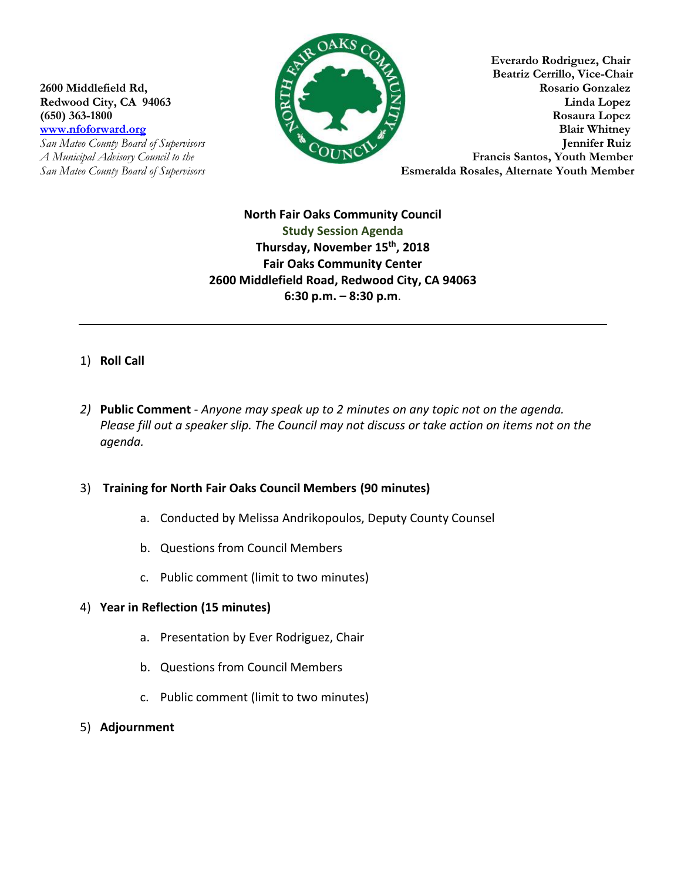**San Mateo County Board of Supervisors** 



**Everardo Rodriguez, Chair Beatriz Cerrillo, Vice-Chair 2600 Middlefield Rd, Rosario Gonzalez Redwood City, CA 94063 Redwood City, CA 94063 Linda Lopez (650) 363-1800 Rosaura Lopez [www.nfoforward.org](http://www.nfoforward.org/) Blair Whitney**<br> **San Mateo County Board of Supervisors <b>County Properties** *A Municipal Advisory Council to the* **Francis Santos, Youth Member** *San Mateo County Board of Supervisors* **Esmeralda Rosales, Alternate Youth Member** 

> **North Fair Oaks Community Council Study Session Agenda Thursday, November 15th , 2018 Fair Oaks Community Center 2600 Middlefield Road, Redwood City, CA 94063 6:30 p.m. – 8:30 p.m**.

## 1) **Roll Call**

*2)* **Public Comment** - *Anyone may speak up to 2 minutes on any topic not on the agenda. Please fill out a speaker slip. The Council may not discuss or take action on items not on the agenda.*

## 3) **Training for North Fair Oaks Council Members (90 minutes)**

- a. Conducted by Melissa Andrikopoulos, Deputy County Counsel
- b. Questions from Council Members
- c. Public comment (limit to two minutes)

## 4) **Year in Reflection (15 minutes)**

- a. Presentation by Ever Rodriguez, Chair
- b. Questions from Council Members
- c. Public comment (limit to two minutes)
- 5) **Adjournment**